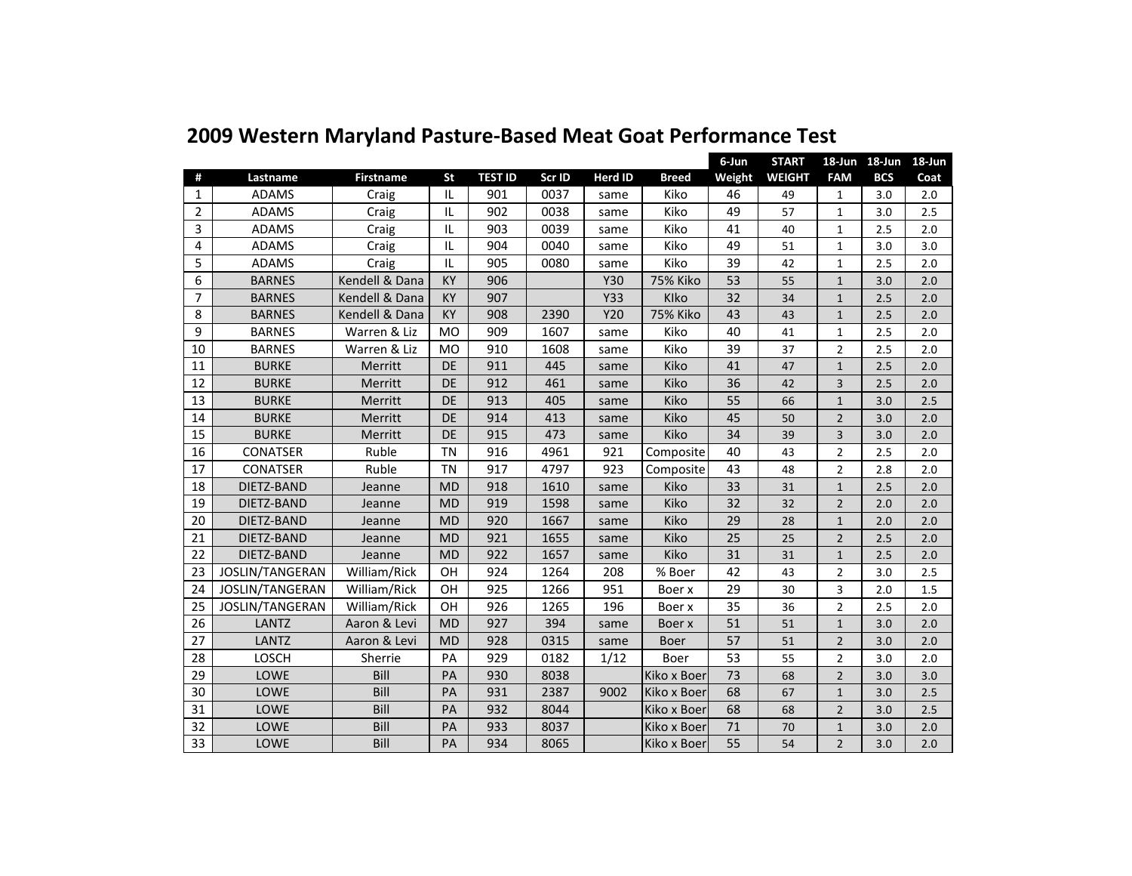|                |                 |                  |           |                |        |            |                 | 6-Jun  | <b>START</b>  |                | 18-Jun 18-Jun 18-Jun |      |
|----------------|-----------------|------------------|-----------|----------------|--------|------------|-----------------|--------|---------------|----------------|----------------------|------|
| #              | Lastname        | <b>Firstname</b> | <b>St</b> | <b>TEST ID</b> | Scr ID | Herd ID    | <b>Breed</b>    | Weight | <b>WEIGHT</b> | <b>FAM</b>     | <b>BCS</b>           | Coat |
| 1              | <b>ADAMS</b>    | Craig            | IL        | 901            | 0037   | same       | Kiko            | 46     | 49            | 1              | 3.0                  | 2.0  |
| $\overline{2}$ | <b>ADAMS</b>    | Craig            | IL        | 902            | 0038   | same       | Kiko            | 49     | 57            | 1              | 3.0                  | 2.5  |
| 3              | <b>ADAMS</b>    | Craig            | IL        | 903            | 0039   | same       | Kiko            | 41     | 40            | $\mathbf{1}$   | 2.5                  | 2.0  |
| 4              | <b>ADAMS</b>    | Craig            | IL        | 904            | 0040   | same       | Kiko            | 49     | 51            | 1              | 3.0                  | 3.0  |
| 5              | <b>ADAMS</b>    | Craig            | IL        | 905            | 0080   | same       | Kiko            | 39     | 42            | $\mathbf{1}$   | 2.5                  | 2.0  |
| 6              | <b>BARNES</b>   | Kendell & Dana   | <b>KY</b> | 906            |        | <b>Y30</b> | <b>75% Kiko</b> | 53     | 55            | $\mathbf{1}$   | 3.0                  | 2.0  |
| $\overline{7}$ | <b>BARNES</b>   | Kendell & Dana   | KY        | 907            |        | Y33        | Klko            | 32     | 34            | $\mathbf{1}$   | 2.5                  | 2.0  |
| 8              | <b>BARNES</b>   | Kendell & Dana   | KY        | 908            | 2390   | Y20        | <b>75% Kiko</b> | 43     | 43            | $\mathbf{1}$   | 2.5                  | 2.0  |
| 9              | <b>BARNES</b>   | Warren & Liz     | <b>MO</b> | 909            | 1607   | same       | Kiko            | 40     | 41            | 1              | 2.5                  | 2.0  |
| 10             | <b>BARNES</b>   | Warren & Liz     | <b>MO</b> | 910            | 1608   | same       | Kiko            | 39     | 37            | $\overline{2}$ | 2.5                  | 2.0  |
| 11             | <b>BURKE</b>    | Merritt          | DE        | 911            | 445    | same       | Kiko            | 41     | 47            | 1              | 2.5                  | 2.0  |
| 12             | <b>BURKE</b>    | Merritt          | <b>DE</b> | 912            | 461    | same       | Kiko            | 36     | 42            | 3              | 2.5                  | 2.0  |
| 13             | <b>BURKE</b>    | Merritt          | <b>DE</b> | 913            | 405    | same       | Kiko            | 55     | 66            | $\mathbf{1}$   | 3.0                  | 2.5  |
| 14             | <b>BURKE</b>    | Merritt          | DE        | 914            | 413    | same       | Kiko            | 45     | 50            | $\overline{2}$ | 3.0                  | 2.0  |
| 15             | <b>BURKE</b>    | Merritt          | <b>DE</b> | 915            | 473    | same       | Kiko            | 34     | 39            | 3              | 3.0                  | 2.0  |
| 16             | <b>CONATSER</b> | Ruble            | <b>TN</b> | 916            | 4961   | 921        | Composite       | 40     | 43            | 2              | 2.5                  | 2.0  |
| 17             | <b>CONATSER</b> | Ruble            | <b>TN</b> | 917            | 4797   | 923        | Composite       | 43     | 48            | $\overline{2}$ | 2.8                  | 2.0  |
| 18             | DIETZ-BAND      | Jeanne           | <b>MD</b> | 918            | 1610   | same       | Kiko            | 33     | 31            | 1              | 2.5                  | 2.0  |
| 19             | DIETZ-BAND      | Jeanne           | <b>MD</b> | 919            | 1598   | same       | Kiko            | 32     | 32            | $\overline{2}$ | 2.0                  | 2.0  |
| 20             | DIETZ-BAND      | Jeanne           | <b>MD</b> | 920            | 1667   | same       | Kiko            | 29     | 28            | $\mathbf{1}$   | 2.0                  | 2.0  |
| 21             | DIETZ-BAND      | Jeanne           | <b>MD</b> | 921            | 1655   | same       | Kiko            | 25     | 25            | 2              | 2.5                  | 2.0  |
| 22             | DIETZ-BAND      | Jeanne           | <b>MD</b> | 922            | 1657   | same       | Kiko            | 31     | 31            | $\mathbf{1}$   | 2.5                  | 2.0  |
| 23             | JOSLIN/TANGERAN | William/Rick     | OH        | 924            | 1264   | 208        | % Boer          | 42     | 43            | 2              | 3.0                  | 2.5  |
| 24             | JOSLIN/TANGERAN | William/Rick     | OH        | 925            | 1266   | 951        | Boer x          | 29     | 30            | 3              | 2.0                  | 1.5  |
| 25             | JOSLIN/TANGERAN | William/Rick     | OH        | 926            | 1265   | 196        | Boer x          | 35     | 36            | 2              | 2.5                  | 2.0  |
| 26             | <b>LANTZ</b>    | Aaron & Levi     | <b>MD</b> | 927            | 394    | same       | Boer x          | 51     | 51            | $\mathbf{1}$   | 3.0                  | 2.0  |
| 27             | LANTZ           | Aaron & Levi     | <b>MD</b> | 928            | 0315   | same       | <b>Boer</b>     | 57     | 51            | $\overline{2}$ | 3.0                  | 2.0  |
| 28             | LOSCH           | Sherrie          | PA        | 929            | 0182   | 1/12       | Boer            | 53     | 55            | 2              | 3.0                  | 2.0  |
| 29             | <b>LOWE</b>     | Bill             | PA        | 930            | 8038   |            | Kiko x Boer     | 73     | 68            | $\overline{2}$ | 3.0                  | 3.0  |
| 30             | LOWE            | Bill             | PA        | 931            | 2387   | 9002       | Kiko x Boer     | 68     | 67            | $\mathbf{1}$   | 3.0                  | 2.5  |
| 31             | LOWE            | Bill             | PA        | 932            | 8044   |            | Kiko x Boer     | 68     | 68            | $\overline{2}$ | 3.0                  | 2.5  |
| 32             | LOWE            | Bill             | PA        | 933            | 8037   |            | Kiko x Boer     | 71     | 70            | $\mathbf{1}$   | 3.0                  | 2.0  |
| 33             | LOWE            | Bill             | PA        | 934            | 8065   |            | Kiko x Boer     | 55     | 54            | $\overline{2}$ | 3.0                  | 2.0  |

## **2009 Western Maryland Pasture‐Based Meat Goat Performance Test**